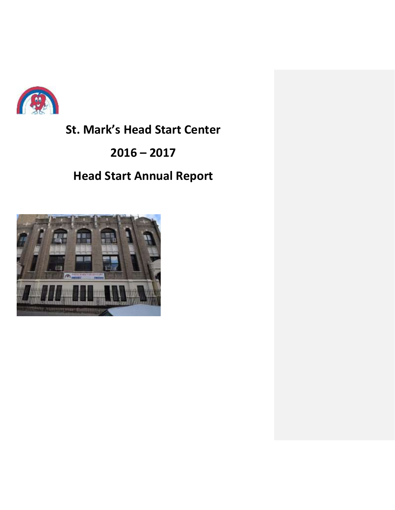

# **St. Mark's Head Start Center**

## **2016 – 2017**

# **Head Start Annual Report**

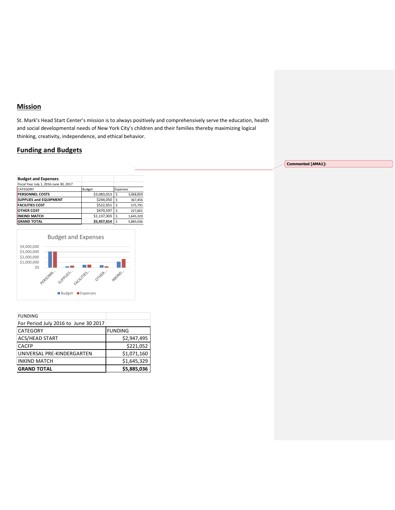## **Mission**

St. Mark's Head Start Center's mission is to always positively and comprehensively serve the education, health and social developmental needs of New York City's children and their families thereby maximizing logical thinking, creativity, independence, and ethical behavior.

## **Funding and Budgets**

| <b>Budget and Expenses</b>             |               |          |           |
|----------------------------------------|---------------|----------|-----------|
| Fiscal Year July 1, 2016-June 30, 2017 |               |          |           |
| CATEGORY                               | <b>Budget</b> | Expenses |           |
| <b>PERSONNEL COSTS</b>                 | \$3,083,013   | Ś        | 3,068,859 |
| <b>SUPPLIES and EQUIPMENT</b>          | \$244,050     | \$       | 367,456   |
| <b>FACILITIES COST</b>                 | \$522,051     | \$       | 575,791   |
| <b>OTHER COST</b>                      | \$470,597     | \$       | 227,601   |
| <b>INKIND MATCH</b>                    | \$1,137,303   | \$       | 1,645,329 |
| <b>GRAND TOTAL</b>                     | \$5.457.014   | Ś        | 5.885.036 |



| <b>FUNDING</b>                       |                |
|--------------------------------------|----------------|
| For Period July 2016 to June 30 2017 |                |
| CATEGORY                             | <b>FUNDING</b> |
| <b>ACS/HEAD START</b>                | \$2,947,495    |
| <b>CACFP</b>                         | \$221,052      |
| UNIVERSAL PRE-KINDERGARTEN           | \$1,071,160    |
| <b>INKIND MATCH</b>                  | \$1,645,329    |
| <b>GRAND TOTAL</b>                   | \$5,885,036    |

**Commented [AMA1]:**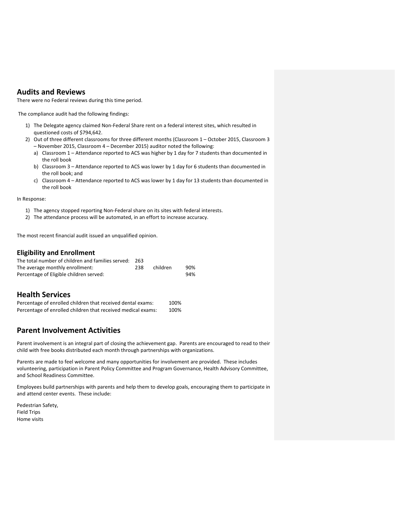### **Audits and Reviews**

There were no Federal reviews during this time period.

The compliance audit had the following findings:

- 1) The Delegate agency claimed Non-Federal Share rent on a federal interest sites, which resulted in questioned costs of \$794,642.
- 2) Out of three different classrooms for three different months (Classroom 1 October 2015, Classroom 3 – November 2015, Classroom 4 – December 2015) auditor noted the following:
	- a) Classroom 1 Attendance reported to ACS was higher by 1 day for 7 students than documented in the roll book
	- b) Classroom 3 Attendance reported to ACS was lower by 1 day for 6 students than documented in the roll book; and
	- c) Classroom 4 Attendance reported to ACS was lower by 1 day for 13 students than documented in the roll book

In Response:

- 1) The agency stopped reporting Non-Federal share on its sites with federal interests.
- 2) The attendance process will be automated, in an effort to increase accuracy.

The most recent financial audit issued an unqualified opinion.

#### **Eligibility and Enrollment**

| The total number of children and families served: | - 263 |          |     |
|---------------------------------------------------|-------|----------|-----|
| The average monthly enrollment:                   | 238   | children | 90% |
| Percentage of Eligible children served:           |       |          | 94% |

### **Health Services**

| Percentage of enrolled children that received dental exams:  | 100% |
|--------------------------------------------------------------|------|
| Percentage of enrolled children that received medical exams: | 100% |

### **Parent Involvement Activities**

Parent involvement is an integral part of closing the achievement gap. Parents are encouraged to read to their child with free books distributed each month through partnerships with organizations.

Parents are made to feel welcome and many opportunities for involvement are provided. These includes volunteering, participation in Parent Policy Committee and Program Governance, Health Advisory Committee, and School Readiness Committee.

Employees build partnerships with parents and help them to develop goals, encouraging them to participate in and attend center events. These include:

Pedestrian Safety, Field Trips Home visits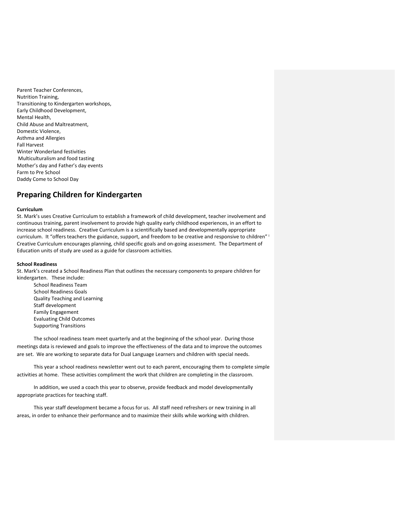Parent Teacher Conferences, Nutrition Training, Transitioning to Kindergarten workshops, Early Childhood Development, Mental Health, Child Abuse and Maltreatment, Domestic Violence, Asthma and Allergies Fall Harvest Winter Wonderland festivities Multiculturalism and food tasting Mother's day and Father's day events Farm to Pre School Daddy Come to School Day

## **Preparing Children for Kindergarten**

#### **Curriculum**

St. Mark's uses Creative Curriculum to establish a framework of child development, teacher involvement and continuous training, parent involvement to provide high quality early childhood experiences, in an effort to increase school readiness. Creative Curriculum is a scientifically based and developmentally appropriate curriculum. It "offers teachers the guidance, support, and freedom to be creative and responsive to children" i Creative Curriculum encourages planning, child specific goals and on-going assessment. The Department of Education units of study are used as a guide for classroom activities.

#### **School Readiness**

St. Mark's created a School Readiness Plan that outlines the necessary components to prepare children for kindergarten. These include:

School Readiness Team School Readiness Goals Quality Teaching and Learning Staff development Family Engagement Evaluating Child Outcomes Supporting Transitions

The school readiness team meet quarterly and at the beginning of the school year. During those meetings data is reviewed and goals to improve the effectiveness of the data and to improve the outcomes are set. We are working to separate data for Dual Language Learners and children with special needs.

This year a school readiness newsletter went out to each parent, encouraging them to complete simple activities at home. These activities compliment the work that children are completing in the classroom.

In addition, we used a coach this year to observe, provide feedback and model developmentally appropriate practices for teaching staff.

This year staff development became a focus for us. All staff need refreshers or new training in all areas, in order to enhance their performance and to maximize their skills while working with children.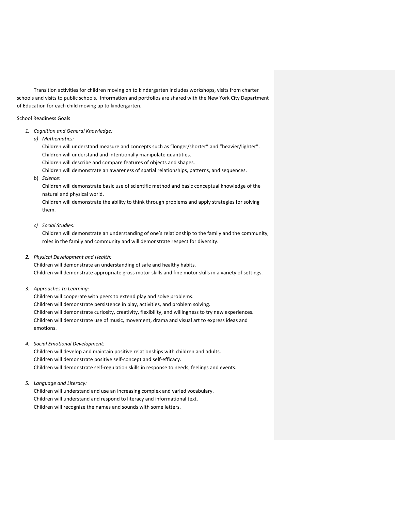Transition activities for children moving on to kindergarten includes workshops, visits from charter schools and visits to public schools. Information and portfolios are shared with the New York City Department of Education for each child moving up to kindergarten.

School Readiness Goals

- *1. Cognition and General Knowledge:*
	- *a) Mathematics:*

Children will understand measure and concepts such as "longer/shorter" and "heavier/lighter". Children will understand and intentionally manipulate quantities. Children will describe and compare features of objects and shapes.

Children will demonstrate an awareness of spatial relationships, patterns, and sequences.

b) *Science*:

Children will demonstrate basic use of scientific method and basic conceptual knowledge of the natural and physical world.

Children will demonstrate the ability to think through problems and apply strategies for solving them.

*c) Social Studies:*

Children will demonstrate an understanding of one's relationship to the family and the community, roles in the family and community and will demonstrate respect for diversity.

*2. Physical Development and Health:*

Children will demonstrate an understanding of safe and healthy habits. Children will demonstrate appropriate gross motor skills and fine motor skills in a variety of settings.

*3. Approaches to Learning:*

Children will cooperate with peers to extend play and solve problems. Children will demonstrate persistence in play, activities, and problem solving. Children will demonstrate curiosity, creativity, flexibility, and willingness to try new experiences. Children will demonstrate use of music, movement, drama and visual art to express ideas and emotions.

*4. Social Emotional Development:*

Children will develop and maintain positive relationships with children and adults. Children will demonstrate positive self-concept and self-efficacy. Children will demonstrate self-regulation skills in response to needs, feelings and events.

*5. Language and Literacy:* 

Children will understand and use an increasing complex and varied vocabulary. Children will understand and respond to literacy and informational text. Children will recognize the names and sounds with some letters.